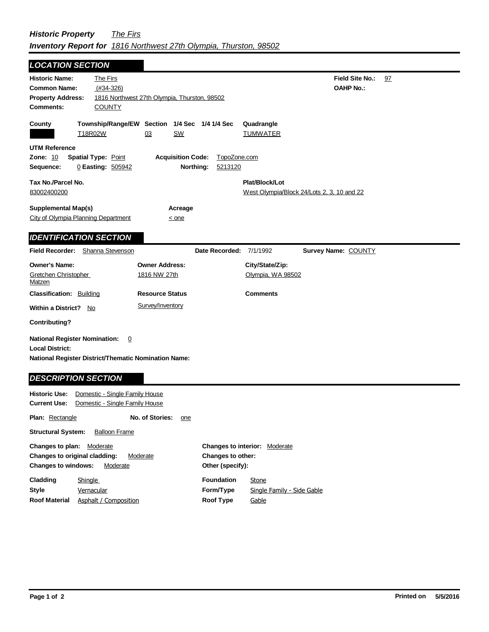## *Historic Property The Firs Inventory Report for 1816 Northwest 27th Olympia, Thurston, 98502*

| <b>LOCATION SECTION</b>                                                                                                       |                                                                                          |                        |                          |                         |                                                  |
|-------------------------------------------------------------------------------------------------------------------------------|------------------------------------------------------------------------------------------|------------------------|--------------------------|-------------------------|--------------------------------------------------|
| <b>Historic Name:</b><br><b>Common Name:</b><br><b>Property Address:</b><br><b>Comments:</b>                                  | The Firs<br>$(H34-326)$<br>1816 Northwest 27th Olympia, Thurston, 98502<br><b>COUNTY</b> |                        |                          |                         | <b>Field Site No.:</b><br>97<br><b>OAHP No.:</b> |
| County                                                                                                                        | Township/Range/EW Section 1/4 Sec 1/4 1/4 Sec                                            |                        |                          |                         | Quadrangle                                       |
|                                                                                                                               | T18R02W                                                                                  | 03                     | SW                       |                         | <b>TUMWATER</b>                                  |
| <b>UTM Reference</b>                                                                                                          |                                                                                          |                        |                          |                         |                                                  |
| Zone: 10                                                                                                                      | <b>Spatial Type: Point</b>                                                               |                        | <b>Acquisition Code:</b> | TopoZone.com            |                                                  |
| Sequence:                                                                                                                     | 0 Easting: 505942                                                                        |                        | Northing:                | 5213120                 |                                                  |
| Tax No./Parcel No.                                                                                                            |                                                                                          |                        |                          |                         | Plat/Block/Lot                                   |
| 83002400200                                                                                                                   |                                                                                          |                        |                          |                         | West Olympia/Block 24/Lots 2, 3, 10 and 22       |
| <b>Supplemental Map(s)</b>                                                                                                    |                                                                                          |                        | Acreage                  |                         |                                                  |
| <b>City of Olympia Planning Department</b>                                                                                    |                                                                                          |                        | $\leq$ one               |                         |                                                  |
|                                                                                                                               |                                                                                          |                        |                          |                         |                                                  |
| <b>IDENTIFICATION SECTION</b>                                                                                                 |                                                                                          |                        |                          |                         |                                                  |
| Field Recorder: Shanna Stevenson                                                                                              |                                                                                          |                        |                          | Date Recorded: 7/1/1992 | <b>Survey Name: COUNTY</b>                       |
| <b>Owner's Name:</b><br><b>Owner Address:</b>                                                                                 |                                                                                          |                        |                          |                         | City/State/Zip:                                  |
| Gretchen Christopher<br>1816 NW 27th<br>Matzen                                                                                |                                                                                          |                        |                          |                         | Olympia, WA 98502                                |
| <b>Classification: Building</b>                                                                                               |                                                                                          | <b>Resource Status</b> |                          |                         | <b>Comments</b>                                  |
|                                                                                                                               | Survey/Inventory<br>Within a District? No                                                |                        |                          |                         |                                                  |
| <b>Contributing?</b>                                                                                                          |                                                                                          |                        |                          |                         |                                                  |
| <b>National Register Nomination:</b><br><b>Local District:</b><br><b>National Register District/Thematic Nomination Name:</b> | $\overline{0}$                                                                           |                        |                          |                         |                                                  |
| <b>DESCRIPTION SECTION</b>                                                                                                    |                                                                                          |                        |                          |                         |                                                  |
| <b>Historic Use:</b>                                                                                                          | Domestic - Single Family House                                                           |                        |                          |                         |                                                  |
| <b>Current Use:</b>                                                                                                           | Domestic - Single Family House                                                           |                        |                          |                         |                                                  |
| <b>Plan: Rectangle</b>                                                                                                        |                                                                                          | No. of Stories:        | one                      |                         |                                                  |
| <b>Structural System:</b>                                                                                                     | <b>Balloon Frame</b>                                                                     |                        |                          |                         |                                                  |
| Changes to plan: Moderate                                                                                                     |                                                                                          |                        |                          |                         | <b>Changes to interior: Moderate</b>             |
| Changes to original cladding:<br>Moderate<br>Changes to other:                                                                |                                                                                          |                        |                          |                         |                                                  |

| <b>Changes to windows:</b> | Moderate              | Other (specify):  |                            |
|----------------------------|-----------------------|-------------------|----------------------------|
| Cladding                   | Shingle               | <b>Foundation</b> | Stone                      |
| Style                      | Vernacular            | Form/Type         | Single Family - Side Gable |
| <b>Roof Material</b>       | Asphalt / Composition | <b>Roof Type</b>  | Gable                      |